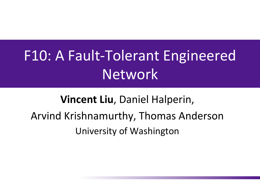## F10: A Fault-Tolerant Engineered Network

#### **Vincent Liu, Daniel Halperin,** Arvind Krishnamurthy, Thomas Anderson University of Washington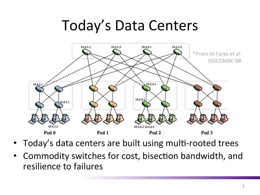#### Today's Data Centers



- Today's data centers are built using multi-rooted trees
- Commodity switches for cost, bisection bandwidth, and resilience to failures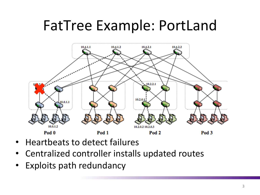#### FatTree Example: PortLand



- Heartbeats to detect failures
- Centralized controller installs updated routes
- Exploits path redundancy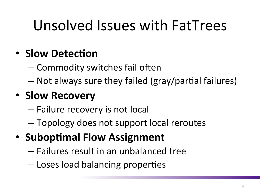## Unsolved Issues with FatTrees

#### • **Slow Detection**

– Commodity switches fail often

 $-$  Not always sure they failed (gray/partial failures)

#### • **Slow Recovery**

- $-$  Failure recovery is not local
- Topology does not support local reroutes
- Suboptimal Flow Assignment
	- $-$  Failures result in an unbalanced tree
	- Loses load balancing properties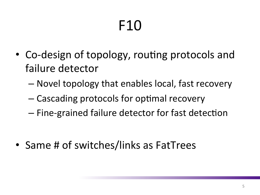# F10

- Co-design of topology, routing protocols and failure detector
	- $-$  Novel topology that enables local, fast recovery
	- $-$  Cascading protocols for optimal recovery
	- $-$  Fine-grained failure detector for fast detection

• Same # of switches/links as FatTrees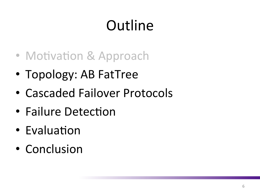# **Outline**

- Motivation & Approach
- Topology: AB FatTree
- Cascaded Failover Protocols
- Failure Detection
- Evaluation
- Conclusion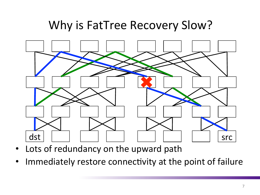#### Why is FatTree Recovery Slow?



- Lots of redundancy on the upward path
- Immediately restore connectivity at the point of failure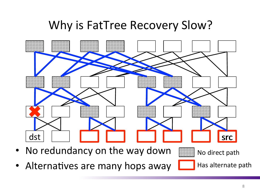#### Why is FatTree Recovery Slow?



- No redundancy on the way down
- Alternatives are many hops away

No direct path

Has alternate path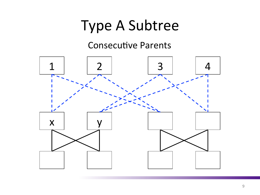#### Type A Subtree

#### **Consecutive Parents**

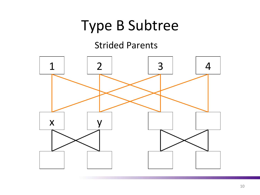#### Type B Subtree

#### **Strided Parents**

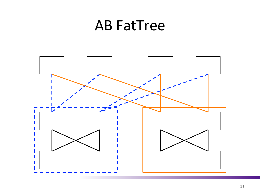#### AB FatTree

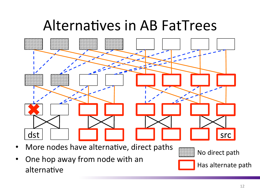#### Alternatives in AB FatTrees



- More nodes have alternative, direct paths
- One hop away from node with an alternative



No direct path



Has alternate path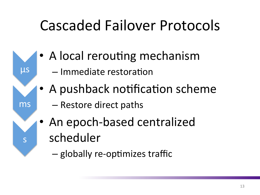## Cascaded Failover Protocols

- A local rerouting mechanism
	- Immediate restoration

μs

ms

s 

- A pushback notification scheme
	- Restore direct paths
- An epoch-based centralized scheduler
	- globally re-optimizes traffic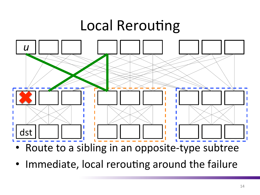## **Local Rerouting**



- Route to a sibling in an opposite-type subtree
- Immediate, local rerouting around the failure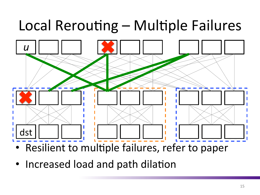# Local Rerouting – Multiple Failures



- Resilient to multiple failures, refer to paper
- Increased load and path dilation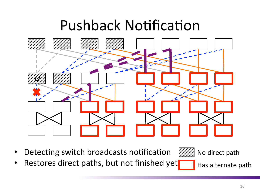#### **Pushback Notification**



- Detecting switch broadcasts notification
- Restores direct paths, but not finished yet

No direct path

Has alternate path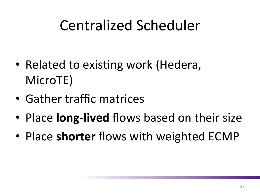## Centralized Scheduler

- Related to existing work (Hedera, MicroTE)
- Gather traffic matrices
- Place **long-lived** flows based on their size
- Place **shorter** flows with weighted ECMP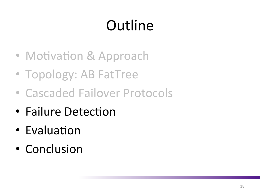# **Outline**

- Motivation & Approach
- Topology: AB FatTree
- Cascaded Failover Protocols
- Failure Detection
- Evaluation
- Conclusion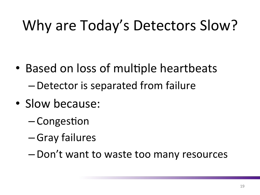# Why are Today's Detectors Slow?

- Based on loss of multiple heartbeats – Detector is separated from failure
- Slow because:
	- $-$  Congestion
	- –Gray failures
	- $-Don't$  want to waste too many resources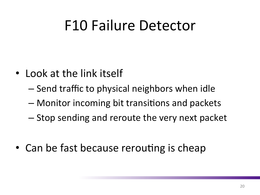#### F10 Failure Detector

- Look at the link itself
	- Send traffic to physical neighbors when idle
	- $-$  Monitor incoming bit transitions and packets
	- $-$  Stop sending and reroute the very next packet
- Can be fast because rerouting is cheap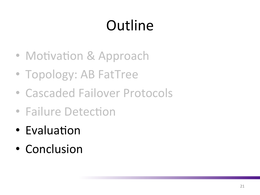# **Outline**

- Motivation & Approach
- Topology: AB FatTree
- Cascaded Failover Protocols
- Failure Detection
- Evaluation
- Conclusion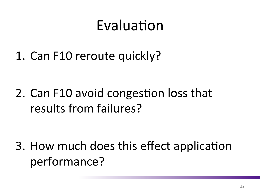#### Evaluation

1. Can F10 reroute quickly?

2. Can F10 avoid congestion loss that results from failures?

3. How much does this effect application performance?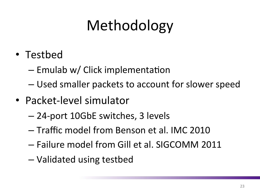# Methodology

- Testbed
	- $-$  Emulab w/ Click implementation
	- $-$  Used smaller packets to account for slower speed
- Packet-level simulator
	- 24-port 10GbE switches, 3 levels
	- $-$  Traffic model from Benson et al. IMC 2010
	- Failure model from Gill et al. SIGCOMM 2011
	- Validated using testbed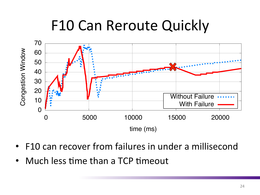### F10 Can Reroute Quickly



- F10 can recover from failures in under a millisecond
- Much less time than a TCP timeout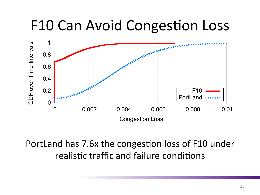#### F10 Can Avoid Congestion Loss



PortLand has 7.6x the congestion loss of F10 under realistic traffic and failure conditions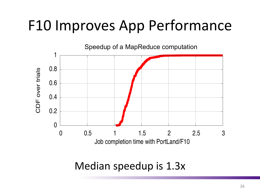## F10 Improves App Performance



Median speedup is 1.3x